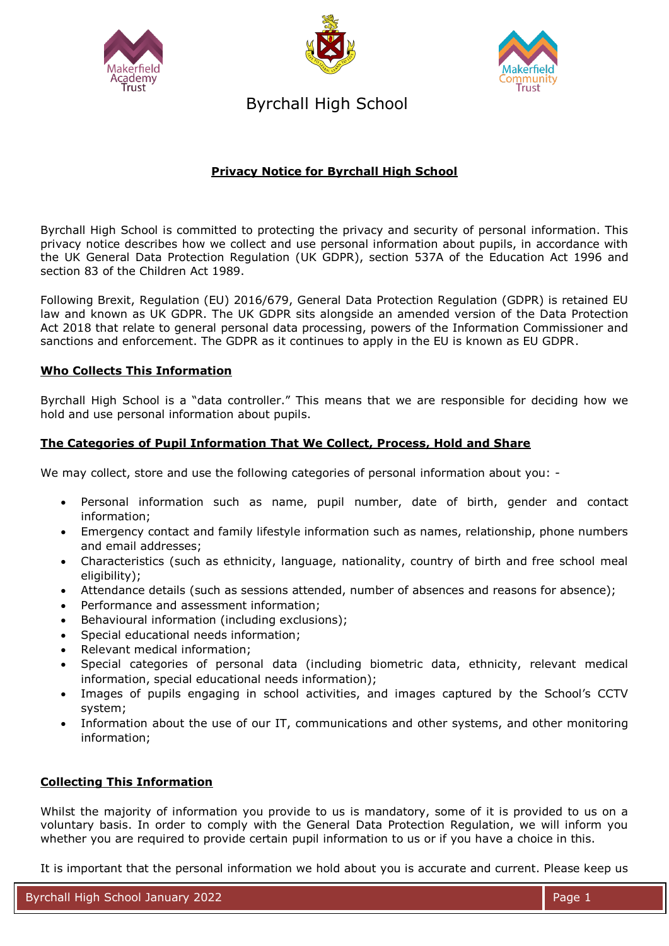





Byrchall High School

# **Privacy Notice for Byrchall High School**

Byrchall High School is committed to protecting the privacy and security of personal information. This privacy notice describes how we collect and use personal information about pupils, in accordance with the UK General Data Protection Regulation (UK GDPR), section 537A of the Education Act 1996 and section 83 of the Children Act 1989.

Following Brexit, Regulation (EU) 2016/679, General Data Protection Regulation (GDPR) is retained EU law and known as UK GDPR. The UK GDPR sits alongside an amended version of the Data Protection Act 2018 that relate to general personal data processing, powers of the Information Commissioner and sanctions and enforcement. The GDPR as it continues to apply in the EU is known as EU GDPR.

### **Who Collects This Information**

Byrchall High School is a "data controller." This means that we are responsible for deciding how we hold and use personal information about pupils.

## **The Categories of Pupil Information That We Collect, Process, Hold and Share**

We may collect, store and use the following categories of personal information about you: -

- Personal information such as name, pupil number, date of birth, gender and contact information;
- Emergency contact and family lifestyle information such as names, relationship, phone numbers and email addresses;
- Characteristics (such as ethnicity, language, nationality, country of birth and free school meal eligibility);
- Attendance details (such as sessions attended, number of absences and reasons for absence);
- Performance and assessment information;
- Behavioural information (including exclusions);
- Special educational needs information;
- Relevant medical information;
- Special categories of personal data (including biometric data, ethnicity, relevant medical information, special educational needs information);
- Images of pupils engaging in school activities, and images captured by the School's CCTV system;
- Information about the use of our IT, communications and other systems, and other monitoring information;

### **Collecting This Information**

Whilst the majority of information you provide to us is mandatory, some of it is provided to us on a voluntary basis. In order to comply with the General Data Protection Regulation, we will inform you whether you are required to provide certain pupil information to us or if you have a choice in this.

It is important that the personal information we hold about you is accurate and current. Please keep us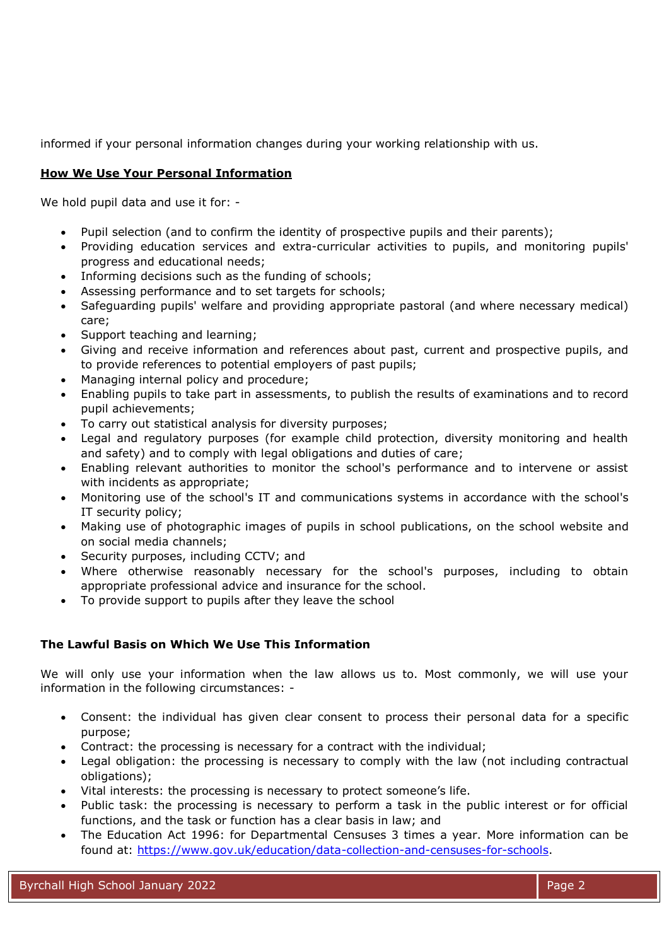informed if your personal information changes during your working relationship with us.

## **How We Use Your Personal Information**

We hold pupil data and use it for: -

- Pupil selection (and to confirm the identity of prospective pupils and their parents);
- Providing education services and extra-curricular activities to pupils, and monitoring pupils' progress and educational needs;
- Informing decisions such as the funding of schools;
- Assessing performance and to set targets for schools;
- Safeguarding pupils' welfare and providing appropriate pastoral (and where necessary medical) care;
- Support teaching and learning;
- Giving and receive information and references about past, current and prospective pupils, and to provide references to potential employers of past pupils;
- Managing internal policy and procedure;
- Enabling pupils to take part in assessments, to publish the results of examinations and to record pupil achievements;
- To carry out statistical analysis for diversity purposes;
- Legal and regulatory purposes (for example child protection, diversity monitoring and health and safety) and to comply with legal obligations and duties of care;
- Enabling relevant authorities to monitor the school's performance and to intervene or assist with incidents as appropriate;
- Monitoring use of the school's IT and communications systems in accordance with the school's IT security policy;
- Making use of photographic images of pupils in school publications, on the school website and on social media channels;
- Security purposes, including CCTV; and
- Where otherwise reasonably necessary for the school's purposes, including to obtain appropriate professional advice and insurance for the school.
- To provide support to pupils after they leave the school

## **The Lawful Basis on Which We Use This Information**

We will only use your information when the law allows us to. Most commonly, we will use your information in the following circumstances: -

- Consent: the individual has given clear consent to process their personal data for a specific purpose;
- Contract: the processing is necessary for a contract with the individual;
- Legal obligation: the processing is necessary to comply with the law (not including contractual obligations);
- Vital interests: the processing is necessary to protect someone's life.
- Public task: the processing is necessary to perform a task in the public interest or for official functions, and the task or function has a clear basis in law; and
- The Education Act 1996: for Departmental Censuses 3 times a year. More information can be found at: [https://www.gov.uk/education/data-collection-and-censuses-for-schools.](https://www.gov.uk/education/data-collection-and-censuses-for-schools)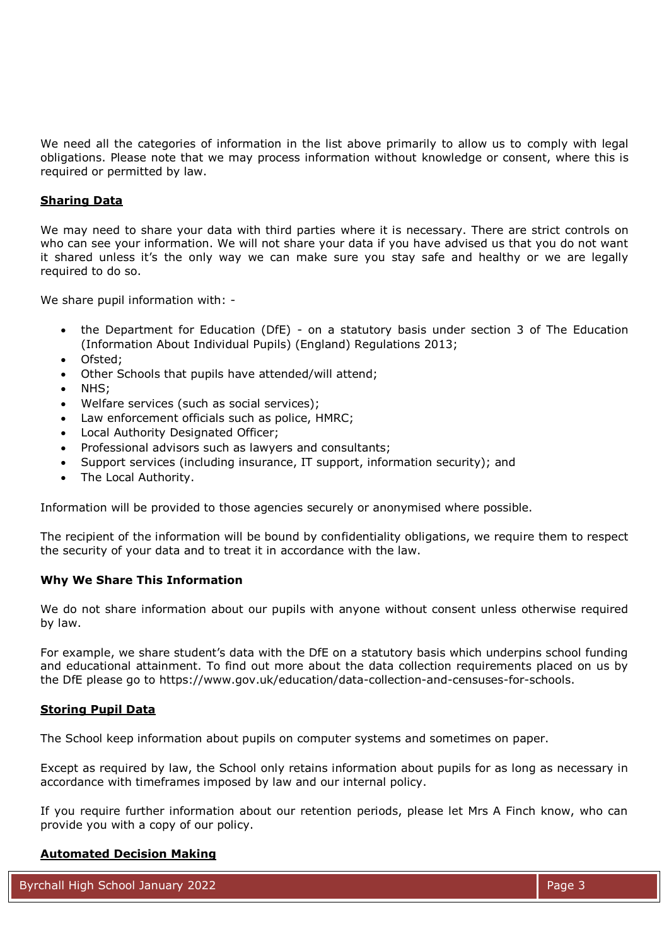We need all the categories of information in the list above primarily to allow us to comply with legal obligations. Please note that we may process information without knowledge or consent, where this is required or permitted by law.

#### **Sharing Data**

We may need to share your data with third parties where it is necessary. There are strict controls on who can see your information. We will not share your data if you have advised us that you do not want it shared unless it's the only way we can make sure you stay safe and healthy or we are legally required to do so.

We share pupil information with: -

- the Department for Education (DfE) on a statutory basis under section 3 of The Education (Information About Individual Pupils) (England) Regulations 2013;
- Ofsted;
- Other Schools that pupils have attended/will attend;
- NHS;
- Welfare services (such as social services);
- Law enforcement officials such as police, HMRC;
- Local Authority Designated Officer;
- Professional advisors such as lawyers and consultants;
- Support services (including insurance, IT support, information security); and
- The Local Authority.

Information will be provided to those agencies securely or anonymised where possible.

The recipient of the information will be bound by confidentiality obligations, we require them to respect the security of your data and to treat it in accordance with the law.

#### **Why We Share This Information**

We do not share information about our pupils with anyone without consent unless otherwise required by law.

For example, we share student's data with the DfE on a statutory basis which underpins school funding and educational attainment. To find out more about the data collection requirements placed on us by the DfE please go to https://www.gov.uk/education/data-collection-and-censuses-for-schools.

#### **Storing Pupil Data**

The School keep information about pupils on computer systems and sometimes on paper.

Except as required by law, the School only retains information about pupils for as long as necessary in accordance with timeframes imposed by law and our internal policy.

If you require further information about our retention periods, please let Mrs A Finch know, who can provide you with a copy of our policy.

#### **Automated Decision Making**

Byrchall High School January 2022 Page 3 Art 2007 Page 3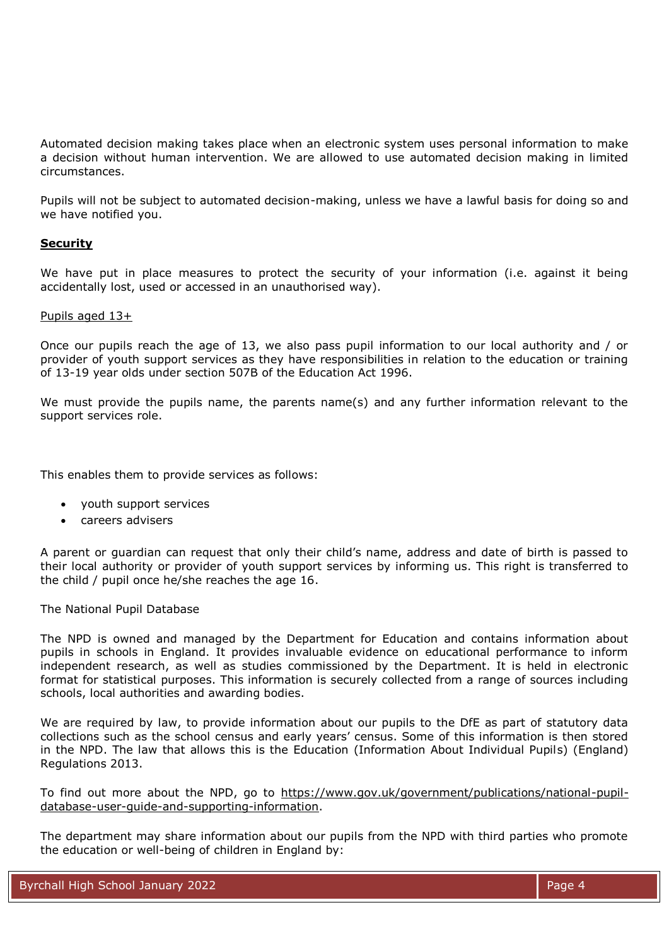Automated decision making takes place when an electronic system uses personal information to make a decision without human intervention. We are allowed to use automated decision making in limited circumstances.

Pupils will not be subject to automated decision-making, unless we have a lawful basis for doing so and we have notified you.

### **Security**

We have put in place measures to protect the security of your information (i.e. against it being accidentally lost, used or accessed in an unauthorised way).

#### Pupils aged 13+

Once our pupils reach the age of 13, we also pass pupil information to our local authority and / or provider of youth support services as they have responsibilities in relation to the education or training of 13-19 year olds under section 507B of the Education Act 1996.

We must provide the pupils name, the parents name(s) and any further information relevant to the support services role.

This enables them to provide services as follows:

- youth support services
- careers advisers

A parent or guardian can request that only their child's name, address and date of birth is passed to their local authority or provider of youth support services by informing us. This right is transferred to the child / pupil once he/she reaches the age 16.

The National Pupil Database

The NPD is owned and managed by the Department for Education and contains information about pupils in schools in England. It provides invaluable evidence on educational performance to inform independent research, as well as studies commissioned by the Department. It is held in electronic format for statistical purposes. This information is securely collected from a range of sources including schools, local authorities and awarding bodies.

We are required by law, to provide information about our pupils to the DfE as part of statutory data collections such as the school census and early years' census. Some of this information is then stored in the NPD. The law that allows this is the Education (Information About Individual Pupils) (England) Regulations 2013.

To find out more about the NPD, go to [https://www.gov.uk/government/publications/national-pupil](https://www.gov.uk/government/publications/national-pupil-database-user-guide-and-supporting-information)[database-user-guide-and-supporting-information.](https://www.gov.uk/government/publications/national-pupil-database-user-guide-and-supporting-information)

The department may share information about our pupils from the NPD with third parties who promote the education or well-being of children in England by: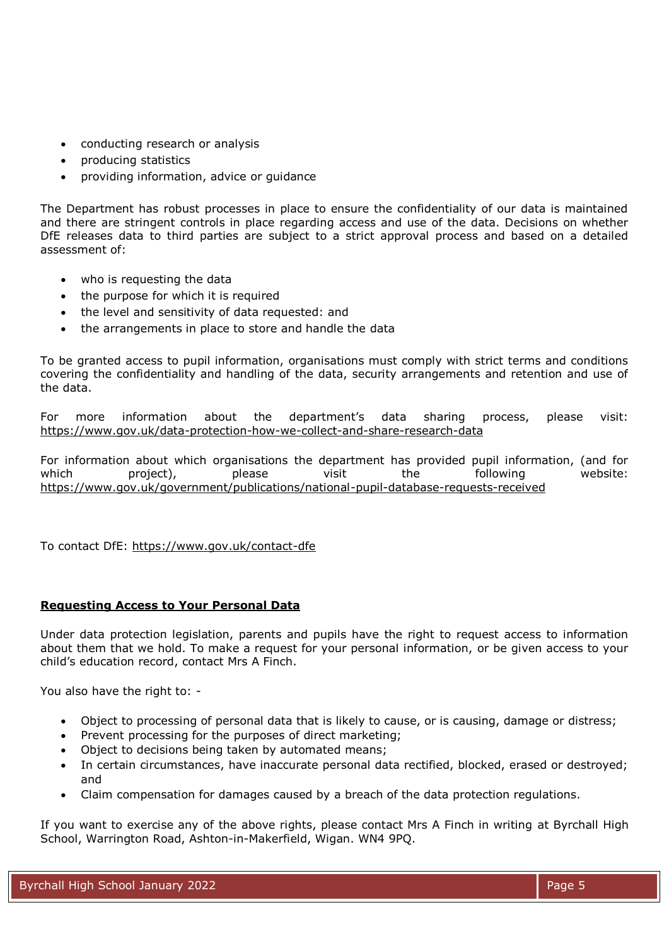- conducting research or analysis
- producing statistics
- providing information, advice or guidance

The Department has robust processes in place to ensure the confidentiality of our data is maintained and there are stringent controls in place regarding access and use of the data. Decisions on whether DfE releases data to third parties are subject to a strict approval process and based on a detailed assessment of:

- who is requesting the data
- the purpose for which it is required
- the level and sensitivity of data requested: and
- the arrangements in place to store and handle the data

To be granted access to pupil information, organisations must comply with strict terms and conditions covering the confidentiality and handling of the data, security arrangements and retention and use of the data.

For more information about the department's data sharing process, please visit: <https://www.gov.uk/data-protection-how-we-collect-and-share-research-data>

For information about which organisations the department has provided pupil information, (and for which project), please visit the following website: <https://www.gov.uk/government/publications/national-pupil-database-requests-received>

To contact DfE:<https://www.gov.uk/contact-dfe>

## **Requesting Access to Your Personal Data**

Under data protection legislation, parents and pupils have the right to request access to information about them that we hold. To make a request for your personal information, or be given access to your child's education record, contact Mrs A Finch.

You also have the right to: -

- Object to processing of personal data that is likely to cause, or is causing, damage or distress;
- Prevent processing for the purposes of direct marketing;
- Object to decisions being taken by automated means;
- In certain circumstances, have inaccurate personal data rectified, blocked, erased or destroyed; and
- Claim compensation for damages caused by a breach of the data protection regulations.

If you want to exercise any of the above rights, please contact Mrs A Finch in writing at Byrchall High School, Warrington Road, Ashton-in-Makerfield, Wigan. WN4 9PQ.